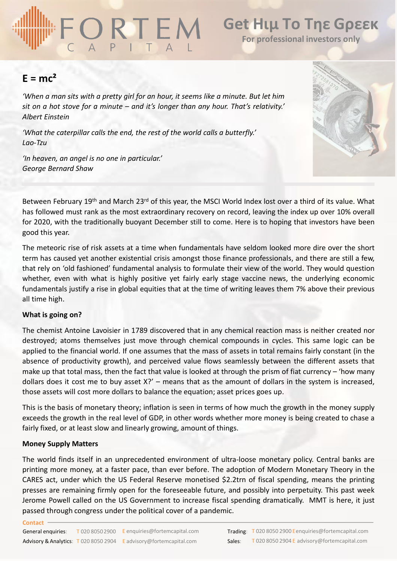# **Get Ηιμ Το Τηε Gρεεκ**

**For professional investors only**

# $E = mc^2$

*'When a man sits with a pretty girl for an hour, it seems like a minute. But let him sit on a hot stove for a minute – and it's longer than any hour. That's relativity.' Albert Einstein*

*'What the caterpillar calls the end, the rest of the world calls a butterfly.' Lao-Tzu*

*'In heaven, an angel is no one in particular.' George Bernard Shaw*



Between February 19<sup>th</sup> and March 23<sup>rd</sup> of this year, the MSCI World Index lost over a third of its value. What has followed must rank as the most extraordinary recovery on record, leaving the index up over 10% overall for 2020, with the traditionally buoyant December still to come. Here is to hoping that investors have been good this year.

The meteoric rise of risk assets at a time when fundamentals have seldom looked more dire over the short term has caused yet another existential crisis amongst those finance professionals, and there are still a few, that rely on 'old fashioned' fundamental analysis to formulate their view of the world. They would question whether, even with what is highly positive yet fairly early stage vaccine news, the underlying economic fundamentals justify a rise in global equities that at the time of writing leaves them 7% above their previous all time high.

# **What is going on?**

The chemist Antoine Lavoisier in 1789 discovered that in any chemical reaction mass is neither created nor destroyed; atoms themselves just move through chemical compounds in cycles. This same logic can be applied to the financial world. If one assumes that the mass of assets in total remains fairly constant (in the absence of productivity growth), and perceived value flows seamlessly between the different assets that make up that total mass, then the fact that value is looked at through the prism of fiat currency – 'how many dollars does it cost me to buy asset X?' – means that as the amount of dollars in the system is increased, those assets will cost more dollars to balance the equation; asset prices goes up.

This is the basis of monetary theory; inflation is seen in terms of how much the growth in the money supply exceeds the growth in the real level of GDP, in other words whether more money is being created to chase a fairly fixed, or at least slow and linearly growing, amount of things.

# **Money Supply Matters**

The world finds itself in an unprecedented environment of ultra-loose monetary policy. Central banks are printing more money, at a faster pace, than ever before. The adoption of Modern Monetary Theory in the CARES act, under which the US Federal Reserve monetised \$2.2trn of fiscal spending, means the printing presses are remaining firmly open for the foreseeable future, and possibly into perpetuity. This past week Jerome Powell called on the US Government to increase fiscal spending dramatically. MMT is here, it just passed through congress under the political cover of a pandemic.

### **Contact**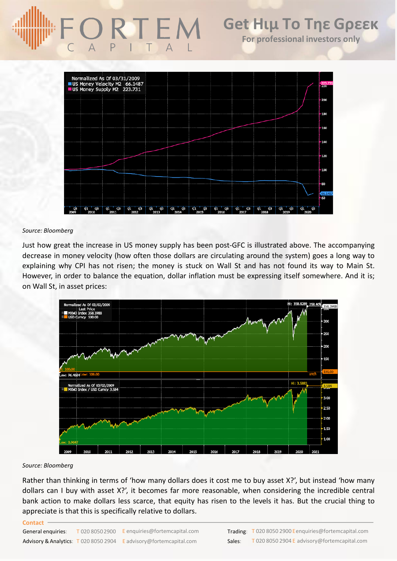

## *Source: Bloomberg*

Just how great the increase in US money supply has been post-GFC is illustrated above. The accompanying decrease in money velocity (how often those dollars are circulating around the system) goes a long way to explaining why CPI has not risen; the money is stuck on Wall St and has not found its way to Main St. However, in order to balance the equation, dollar inflation must be expressing itself somewhere. And it is; on Wall St, in asset prices:



### *Source: Bloomberg*

Rather than thinking in terms of 'how many dollars does it cost me to buy asset X?', but instead 'how many dollars can I buy with asset X?', it becomes far more reasonable, when considering the incredible central bank action to make dollars less scarce, that equity has risen to the levels it has. But the crucial thing to appreciate is that this is specifically relative to dollars.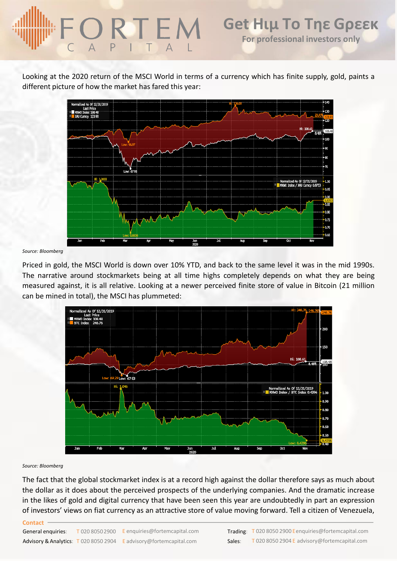# **Get Ηιμ Το Τηε Gρεεκ** ORTEM **For professional investors only**

Looking at the 2020 return of the MSCI World in terms of a currency which has finite supply, gold, paints a different picture of how the market has fared this year:



*Source: Bloomberg*

Priced in gold, the MSCI World is down over 10% YTD, and back to the same level it was in the mid 1990s. The narrative around stockmarkets being at all time highs completely depends on what they are being measured against, it is all relative. Looking at a newer perceived finite store of value in Bitcoin (21 million can be mined in total), the MSCI has plummeted:



#### *Source: Bloomberg*

The fact that the global stockmarket index is at a record high against the dollar therefore says as much about the dollar as it does about the perceived prospects of the underlying companies. And the dramatic increase in the likes of gold and digital currency that have been seen this year are undoubtedly in part an expression of investors' views on fiat currency as an attractive store of value moving forward. Tell a citizen of Venezuela,

#### **Contact**